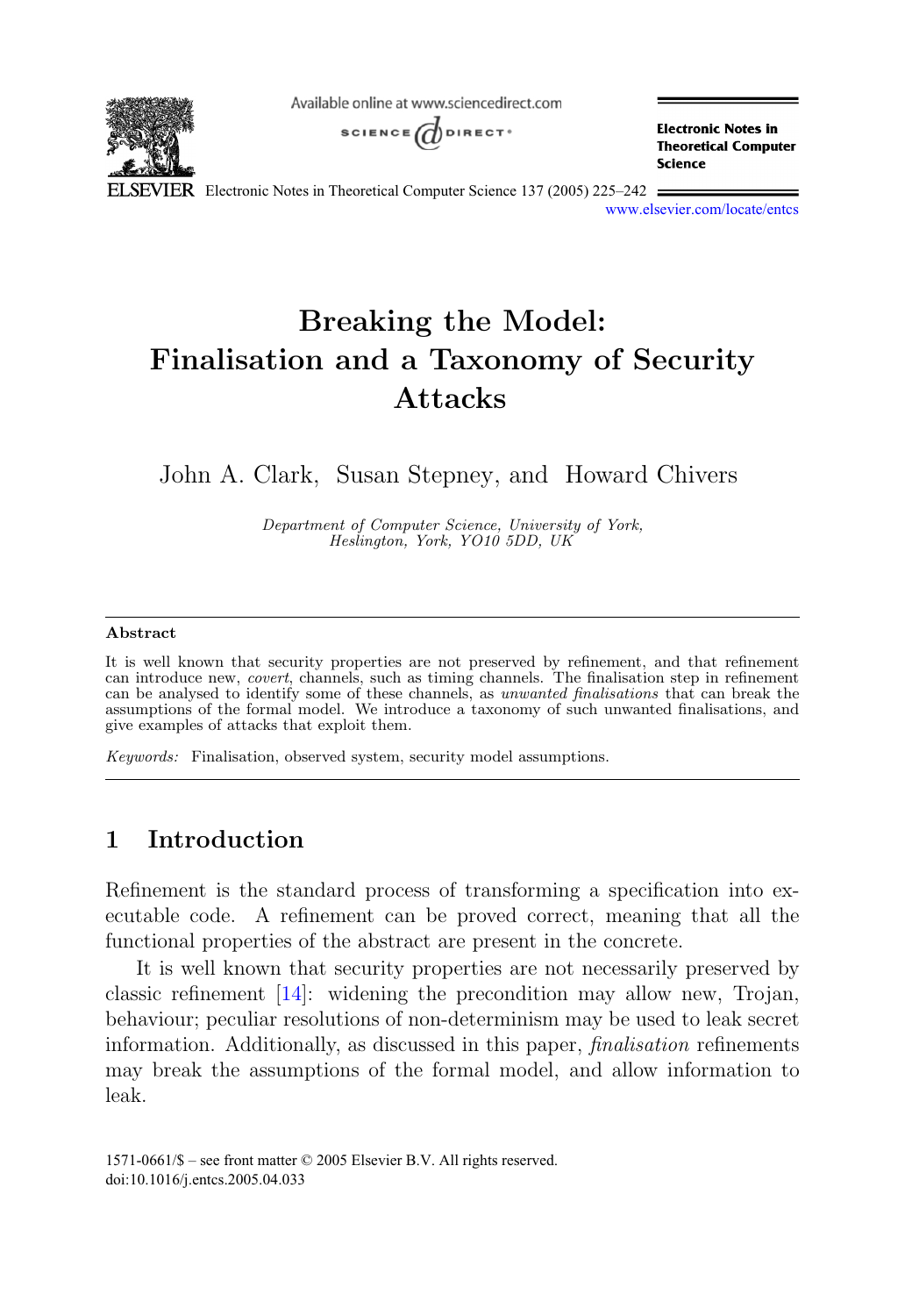Available online at www.sciencedirect.com



**Electronic Notes in Theoretical Computer Science** 



**SEVIER** Electronic Notes in Theoretical Computer Science 137 (2005) 225–242  $\equiv$ 

[www.elsevier.com/locate/entcs](http://www.elsevier.com/locate/entcs)

# **Breaking the Model: Finalisation and a Taxonomy of Security Attacks**

John A. Clark, Susan Stepney, and Howard Chivers

Department of Computer Science, University of York, Heslington, York, YO10 5DD, UK

#### **Abstract**

It is well known that security properties are not preserved by refinement, and that refinement can introduce new, covert, channels, such as timing channels. The finalisation step in refinement can be analysed to identify some of these channels, as unwanted finalisations that can break the assumptions of the formal model. We introduce a taxonomy of such unwanted finalisations, and give examples of attacks that exploit them.

Keywords: Finalisation, observed system, security model assumptions.

# **1 Introduction**

Refinement is the standard process of transforming a specification into executable code. A refinement can be proved correct, meaning that all the functional properties of the abstract are present in the concrete.

It is well known that security properties are not necessarily preserved by classic refinement  $[14]$ : widening the precondition may allow new, Trojan, behaviour; peculiar resolutions of non-determinism may be used to leak secret information. Additionally, as discussed in this paper, *finalisation* refinements may break the assumptions of the formal model, and allow information to leak.

1571-0661/\$ – see front matter © 2005 Elsevier B.V. All rights reserved. doi:10.1016/j.entcs.2005.04.033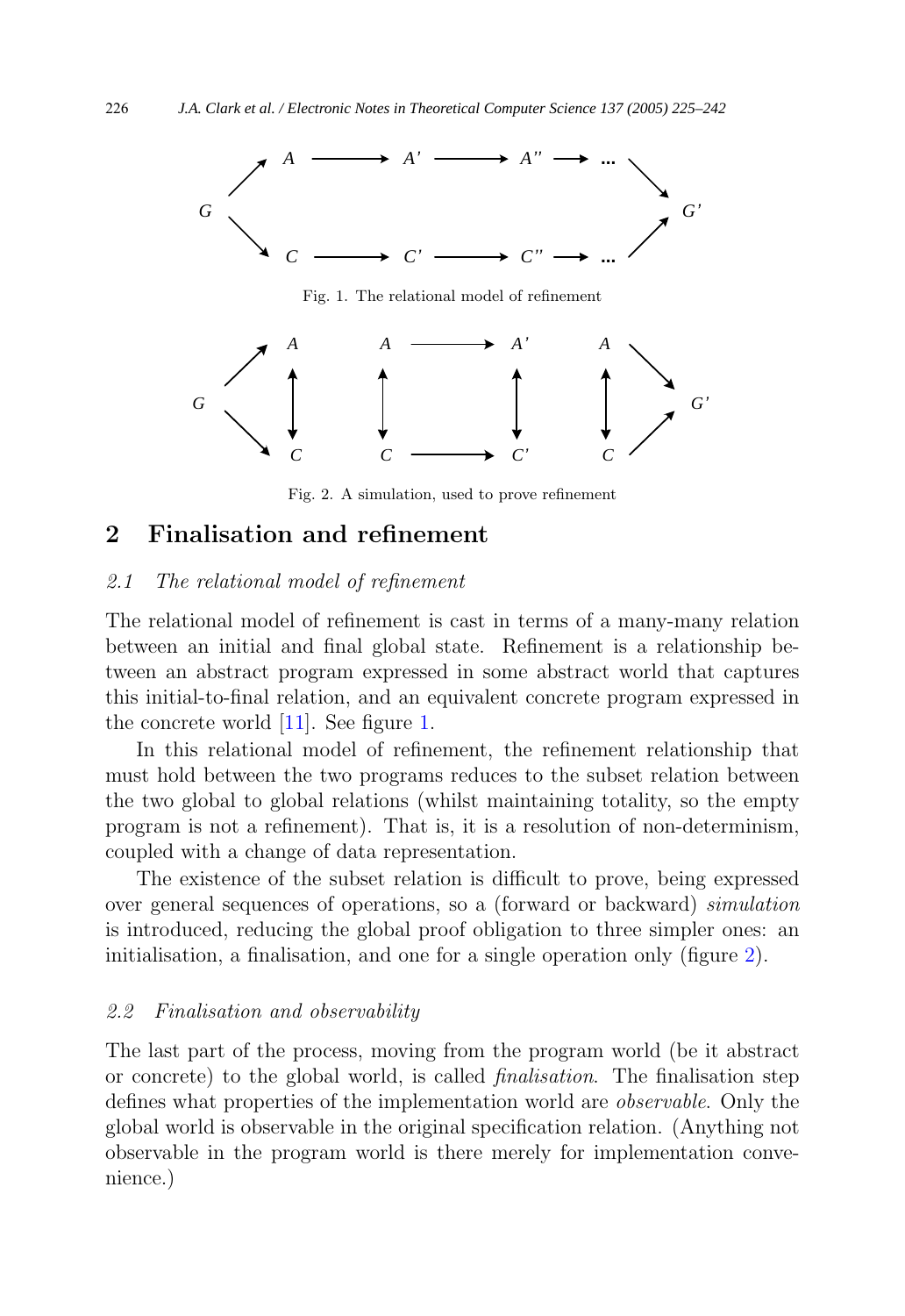

Fig. 2. A simulation, used to prove refinement

## **2 Finalisation and refinement**

#### *2.1 The relational model of refinement*

The relational model of refinement is cast in terms of a many-many relation between an initial and final global state. Refinement is a relationship between an abstract program expressed in some abstract world that captures this initial-to-final relation, and an equivalent concrete program expressed in the concrete world  $[11]$ . See figure 1.

In this relational model of refinement, the refinement relationship that must hold between the two programs reduces to the subset relation between the two global to global relations (whilst maintaining totality, so the empty program is not a refinement). That is, it is a resolution of non-determinism, coupled with a change of data representation.

The existence of the subset relation is difficult to prove, being expressed over general sequences of operations, so a (forward or backward) *simulation* is introduced, reducing the global proof obligation to three simpler ones: an initialisation, a finalisation, and one for a single operation only (figure 2).

#### *2.2 Finalisation and observability*

The last part of the process, moving from the program world (be it abstract or concrete) to the global world, is called *finalisation*. The finalisation step defines what properties of the implementation world are *observable*. Only the global world is observable in the original specification relation. (Anything not observable in the program world is there merely for implementation convenience.)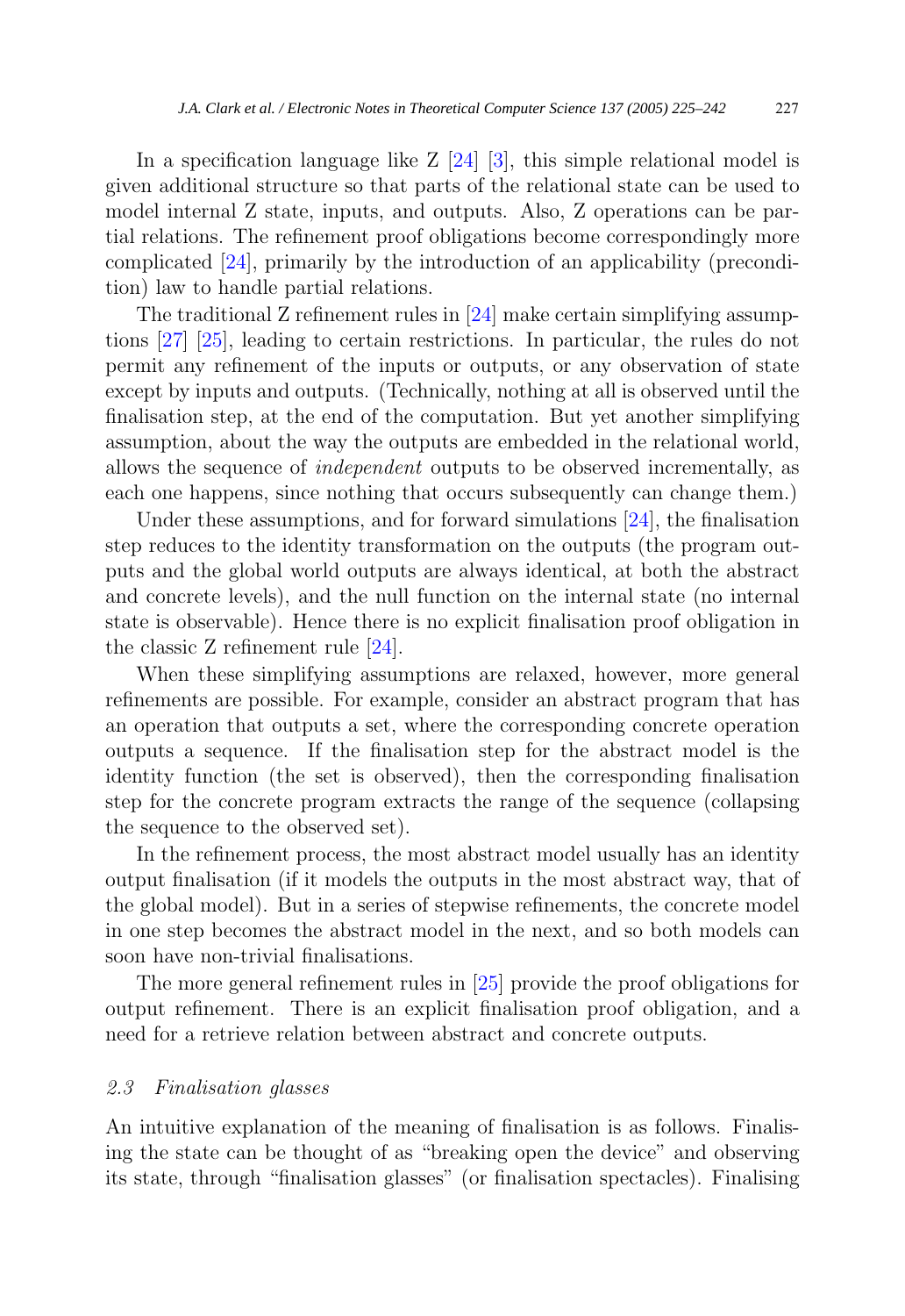In a specification language like  $Z$  [\[24\]](#page-17-0) [\[3\]](#page-16-0), this simple relational model is given additional structure so that parts of the relational state can be used to model internal Z state, inputs, and outputs. Also, Z operations can be partial relations. The refinement proof obligations become correspondingly more complicated [\[24\]](#page-17-0), primarily by the introduction of an applicability (precondition) law to handle partial relations.

The traditional Z refinement rules in [\[24\]](#page-17-0) make certain simplifying assumptions [\[27\]](#page-17-0) [\[25\]](#page-17-0), leading to certain restrictions. In particular, the rules do not permit any refinement of the inputs or outputs, or any observation of state except by inputs and outputs. (Technically, nothing at all is observed until the finalisation step, at the end of the computation. But yet another simplifying assumption, about the way the outputs are embedded in the relational world, allows the sequence of *independent* outputs to be observed incrementally, as each one happens, since nothing that occurs subsequently can change them.)

Under these assumptions, and for forward simulations [\[24\]](#page-17-0), the finalisation step reduces to the identity transformation on the outputs (the program outputs and the global world outputs are always identical, at both the abstract and concrete levels), and the null function on the internal state (no internal state is observable). Hence there is no explicit finalisation proof obligation in the classic Z refinement rule [\[24\]](#page-17-0).

When these simplifying assumptions are relaxed, however, more general refinements are possible. For example, consider an abstract program that has an operation that outputs a set, where the corresponding concrete operation outputs a sequence. If the finalisation step for the abstract model is the identity function (the set is observed), then the corresponding finalisation step for the concrete program extracts the range of the sequence (collapsing the sequence to the observed set).

In the refinement process, the most abstract model usually has an identity output finalisation (if it models the outputs in the most abstract way, that of the global model). But in a series of stepwise refinements, the concrete model in one step becomes the abstract model in the next, and so both models can soon have non-trivial finalisations.

The more general refinement rules in [\[25\]](#page-17-0) provide the proof obligations for output refinement. There is an explicit finalisation proof obligation, and a need for a retrieve relation between abstract and concrete outputs.

#### *2.3 Finalisation glasses*

An intuitive explanation of the meaning of finalisation is as follows. Finalising the state can be thought of as "breaking open the device" and observing its state, through "finalisation glasses" (or finalisation spectacles). Finalising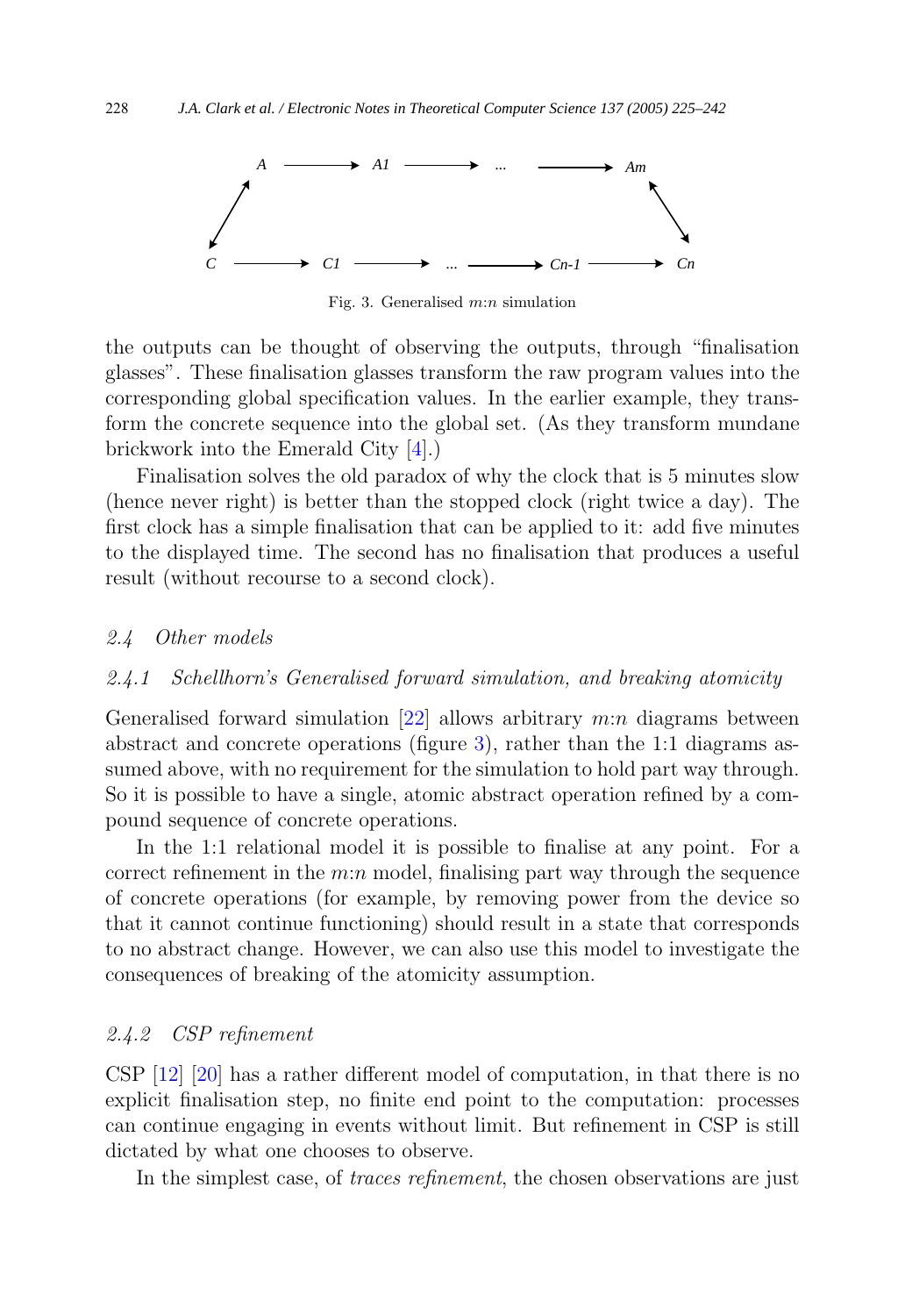

Fig. 3. Generalised  $m:n$  simulation

the outputs can be thought of observing the outputs, through "finalisation glasses". These finalisation glasses transform the raw program values into the corresponding global specification values. In the earlier example, they transform the concrete sequence into the global set. (As they transform mundane brickwork into the Emerald City [\[4\]](#page-16-0).)

Finalisation solves the old paradox of why the clock that is 5 minutes slow (hence never right) is better than the stopped clock (right twice a day). The first clock has a simple finalisation that can be applied to it: add five minutes to the displayed time. The second has no finalisation that produces a useful result (without recourse to a second clock).

#### *2.4 Other models*

#### *2.4.1 Schellhorn's Generalised forward simulation, and breaking atomicity*

Generalised forward simulation  $[22]$  allows arbitrary m:n diagrams between abstract and concrete operations (figure 3), rather than the 1:1 diagrams assumed above, with no requirement for the simulation to hold part way through. So it is possible to have a single, atomic abstract operation refined by a compound sequence of concrete operations.

In the 1:1 relational model it is possible to finalise at any point. For a correct refinement in the  $m:n$  model, finalising part way through the sequence of concrete operations (for example, by removing power from the device so that it cannot continue functioning) should result in a state that corresponds to no abstract change. However, we can also use this model to investigate the consequences of breaking of the atomicity assumption.

#### *2.4.2 CSP refinement*

CSP  $[12]$   $[20]$  has a rather different model of computation, in that there is no explicit finalisation step, no finite end point to the computation: processes can continue engaging in events without limit. But refinement in CSP is still dictated by what one chooses to observe.

In the simplest case, of *traces refinement*, the chosen observations are just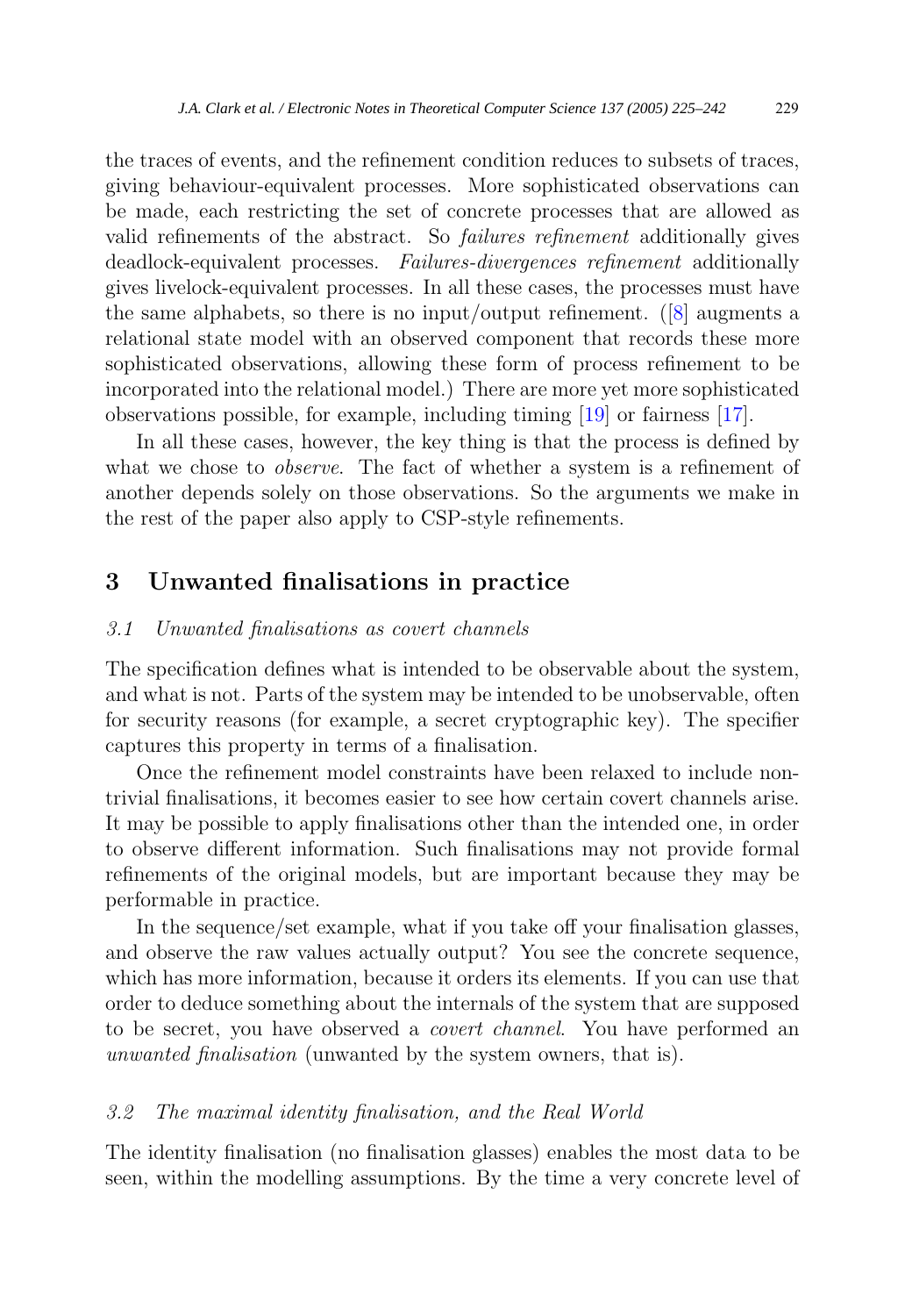the traces of events, and the refinement condition reduces to subsets of traces, giving behaviour-equivalent processes. More sophisticated observations can be made, each restricting the set of concrete processes that are allowed as valid refinements of the abstract. So *failures refinement* additionally gives deadlock-equivalent processes. *Failures-divergences refinement* additionally gives livelock-equivalent processes. In all these cases, the processes must have the same alphabets, so there is no input/output refinement.  $\left( \begin{bmatrix} 8 \end{bmatrix} \right)$  augments a relational state model with an observed component that records these more sophisticated observations, allowing these form of process refinement to be incorporated into the relational model.) There are more yet more sophisticated observations possible, for example, including timing [\[19\]](#page-17-0) or fairness [\[17\]](#page-16-0).

In all these cases, however, the key thing is that the process is defined by what we chose to *observe*. The fact of whether a system is a refinement of another depends solely on those observations. So the arguments we make in the rest of the paper also apply to CSP-style refinements.

## **3 Unwanted finalisations in practice**

#### *3.1 Unwanted finalisations as covert channels*

The specification defines what is intended to be observable about the system, and what is not. Parts of the system may be intended to be unobservable, often for security reasons (for example, a secret cryptographic key). The specifier captures this property in terms of a finalisation.

Once the refinement model constraints have been relaxed to include nontrivial finalisations, it becomes easier to see how certain covert channels arise. It may be possible to apply finalisations other than the intended one, in order to observe different information. Such finalisations may not provide formal refinements of the original models, but are important because they may be performable in practice.

In the sequence/set example, what if you take off your finalisation glasses, and observe the raw values actually output? You see the concrete sequence, which has more information, because it orders its elements. If you can use that order to deduce something about the internals of the system that are supposed to be secret, you have observed a *covert channel*. You have performed an *unwanted finalisation* (unwanted by the system owners, that is).

#### *3.2 The maximal identity finalisation, and the Real World*

The identity finalisation (no finalisation glasses) enables the most data to be seen, within the modelling assumptions. By the time a very concrete level of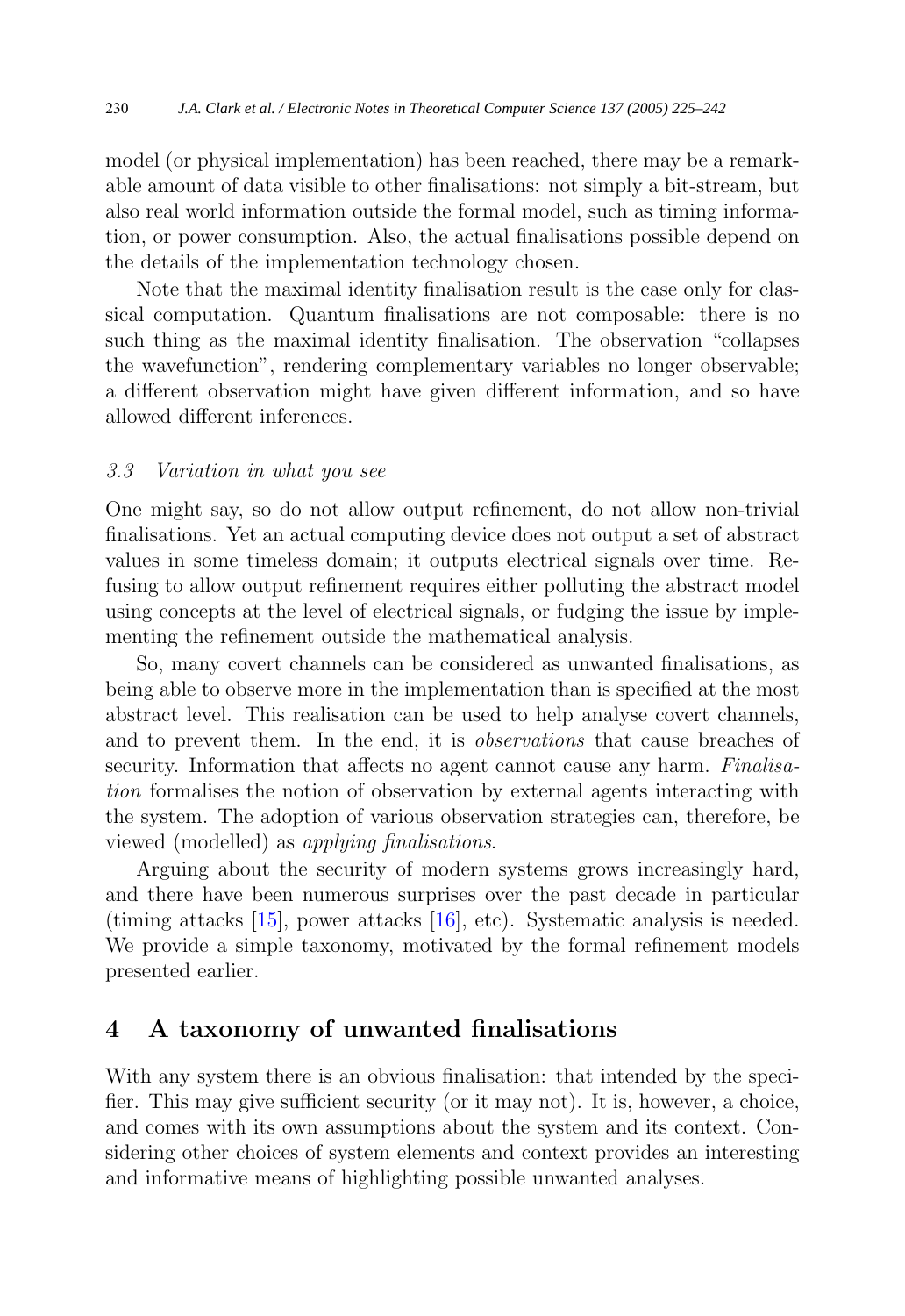model (or physical implementation) has been reached, there may be a remarkable amount of data visible to other finalisations: not simply a bit-stream, but also real world information outside the formal model, such as timing information, or power consumption. Also, the actual finalisations possible depend on the details of the implementation technology chosen.

Note that the maximal identity finalisation result is the case only for classical computation. Quantum finalisations are not composable: there is no such thing as the maximal identity finalisation. The observation "collapses the wavefunction", rendering complementary variables no longer observable; a different observation might have given different information, and so have allowed different inferences.

#### *3.3 Variation in what you see*

One might say, so do not allow output refinement, do not allow non-trivial finalisations. Yet an actual computing device does not output a set of abstract values in some timeless domain; it outputs electrical signals over time. Refusing to allow output refinement requires either polluting the abstract model using concepts at the level of electrical signals, or fudging the issue by implementing the refinement outside the mathematical analysis.

So, many covert channels can be considered as unwanted finalisations, as being able to observe more in the implementation than is specified at the most abstract level. This realisation can be used to help analyse covert channels, and to prevent them. In the end, it is *observations* that cause breaches of security. Information that affects no agent cannot cause any harm. *Finalisation* formalises the notion of observation by external agents interacting with the system. The adoption of various observation strategies can, therefore, be viewed (modelled) as *applying finalisations*.

Arguing about the security of modern systems grows increasingly hard, and there have been numerous surprises over the past decade in particular (timing attacks [\[15\]](#page-16-0), power attacks [\[16\]](#page-16-0), etc). Systematic analysis is needed. We provide a simple taxonomy, motivated by the formal refinement models presented earlier.

# **4 A taxonomy of unwanted finalisations**

With any system there is an obvious finalisation: that intended by the specifier. This may give sufficient security (or it may not). It is, however, a choice, and comes with its own assumptions about the system and its context. Considering other choices of system elements and context provides an interesting and informative means of highlighting possible unwanted analyses.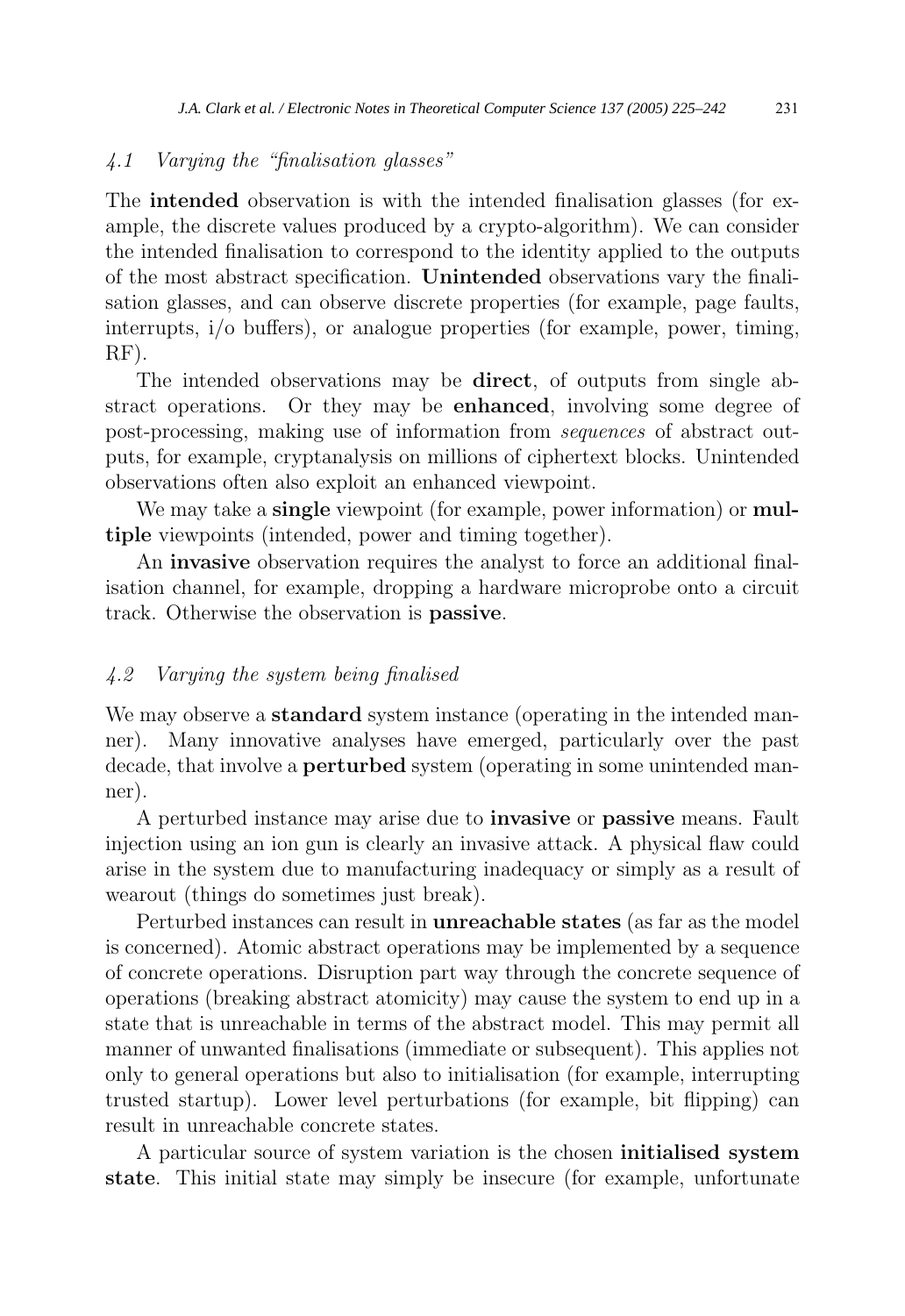#### *4.1 Varying the "finalisation glasses"*

The **intended** observation is with the intended finalisation glasses (for example, the discrete values produced by a crypto-algorithm). We can consider the intended finalisation to correspond to the identity applied to the outputs of the most abstract specification. **Unintended** observations vary the finalisation glasses, and can observe discrete properties (for example, page faults, interrupts, i/o buffers), or analogue properties (for example, power, timing, RF).

The intended observations may be **direct**, of outputs from single abstract operations. Or they may be **enhanced**, involving some degree of post-processing, making use of information from *sequences* of abstract outputs, for example, cryptanalysis on millions of ciphertext blocks. Unintended observations often also exploit an enhanced viewpoint.

We may take a **single** viewpoint (for example, power information) or **multiple** viewpoints (intended, power and timing together).

An **invasive** observation requires the analyst to force an additional finalisation channel, for example, dropping a hardware microprobe onto a circuit track. Otherwise the observation is **passive**.

#### *4.2 Varying the system being finalised*

We may observe a **standard** system instance (operating in the intended manner). Many innovative analyses have emerged, particularly over the past decade, that involve a **perturbed** system (operating in some unintended manner).

A perturbed instance may arise due to **invasive** or **passive** means. Fault injection using an ion gun is clearly an invasive attack. A physical flaw could arise in the system due to manufacturing inadequacy or simply as a result of wearout (things do sometimes just break).

Perturbed instances can result in **unreachable states** (as far as the model is concerned). Atomic abstract operations may be implemented by a sequence of concrete operations. Disruption part way through the concrete sequence of operations (breaking abstract atomicity) may cause the system to end up in a state that is unreachable in terms of the abstract model. This may permit all manner of unwanted finalisations (immediate or subsequent). This applies not only to general operations but also to initialisation (for example, interrupting trusted startup). Lower level perturbations (for example, bit flipping) can result in unreachable concrete states.

A particular source of system variation is the chosen **initialised system state**. This initial state may simply be insecure (for example, unfortunate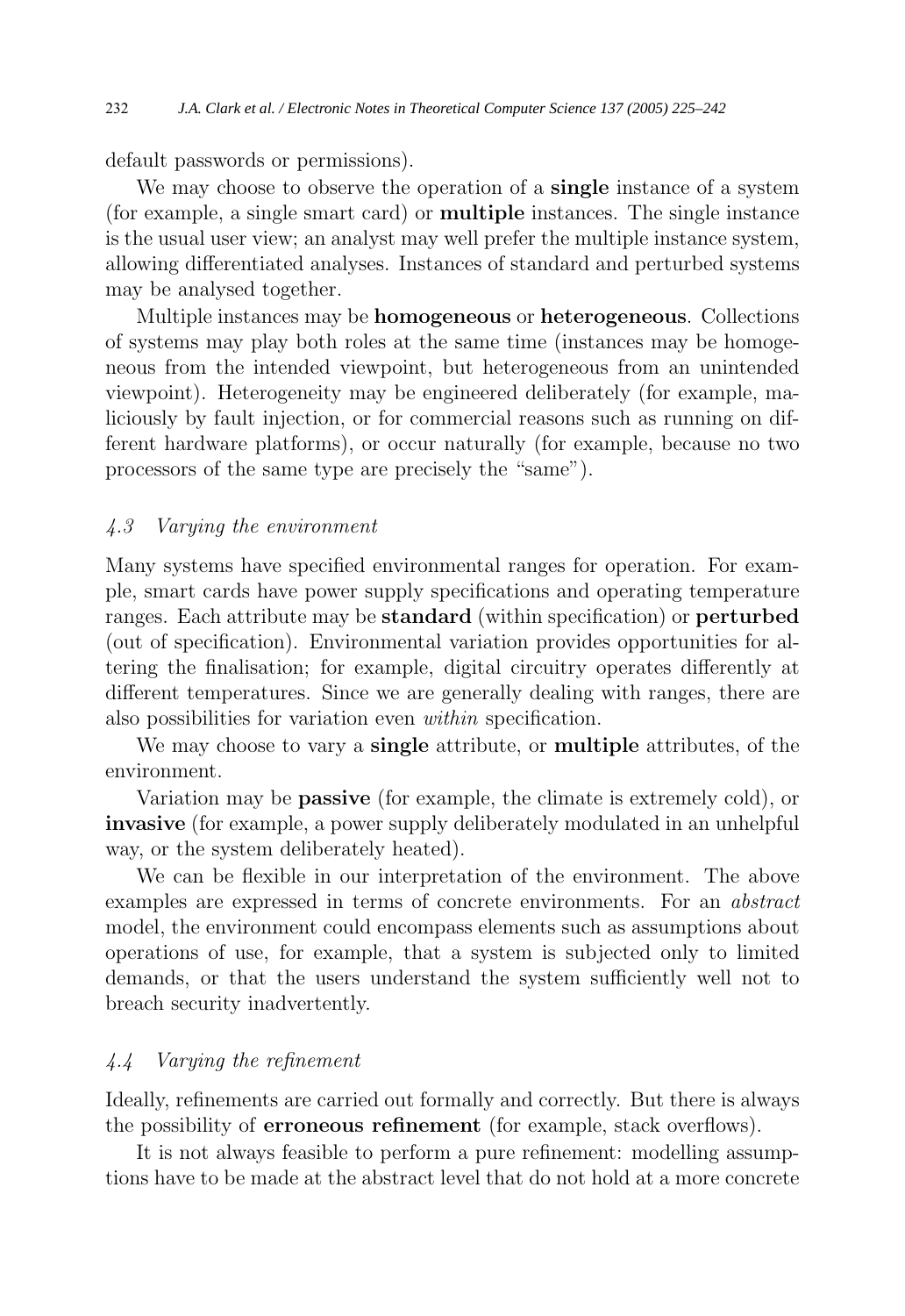default passwords or permissions).

We may choose to observe the operation of a **single** instance of a system (for example, a single smart card) or **multiple** instances. The single instance is the usual user view; an analyst may well prefer the multiple instance system, allowing differentiated analyses. Instances of standard and perturbed systems may be analysed together.

Multiple instances may be **homogeneous** or **heterogeneous**. Collections of systems may play both roles at the same time (instances may be homogeneous from the intended viewpoint, but heterogeneous from an unintended viewpoint). Heterogeneity may be engineered deliberately (for example, maliciously by fault injection, or for commercial reasons such as running on different hardware platforms), or occur naturally (for example, because no two processors of the same type are precisely the "same").

#### *4.3 Varying the environment*

Many systems have specified environmental ranges for operation. For example, smart cards have power supply specifications and operating temperature ranges. Each attribute may be **standard** (within specification) or **perturbed** (out of specification). Environmental variation provides opportunities for altering the finalisation; for example, digital circuitry operates differently at different temperatures. Since we are generally dealing with ranges, there are also possibilities for variation even *within* specification.

We may choose to vary a **single** attribute, or **multiple** attributes, of the environment.

Variation may be **passive** (for example, the climate is extremely cold), or **invasive** (for example, a power supply deliberately modulated in an unhelpful way, or the system deliberately heated).

We can be flexible in our interpretation of the environment. The above examples are expressed in terms of concrete environments. For an *abstract* model, the environment could encompass elements such as assumptions about operations of use, for example, that a system is subjected only to limited demands, or that the users understand the system sufficiently well not to breach security inadvertently.

#### *4.4 Varying the refinement*

Ideally, refinements are carried out formally and correctly. But there is always the possibility of **erroneous refinement** (for example, stack overflows).

It is not always feasible to perform a pure refinement: modelling assumptions have to be made at the abstract level that do not hold at a more concrete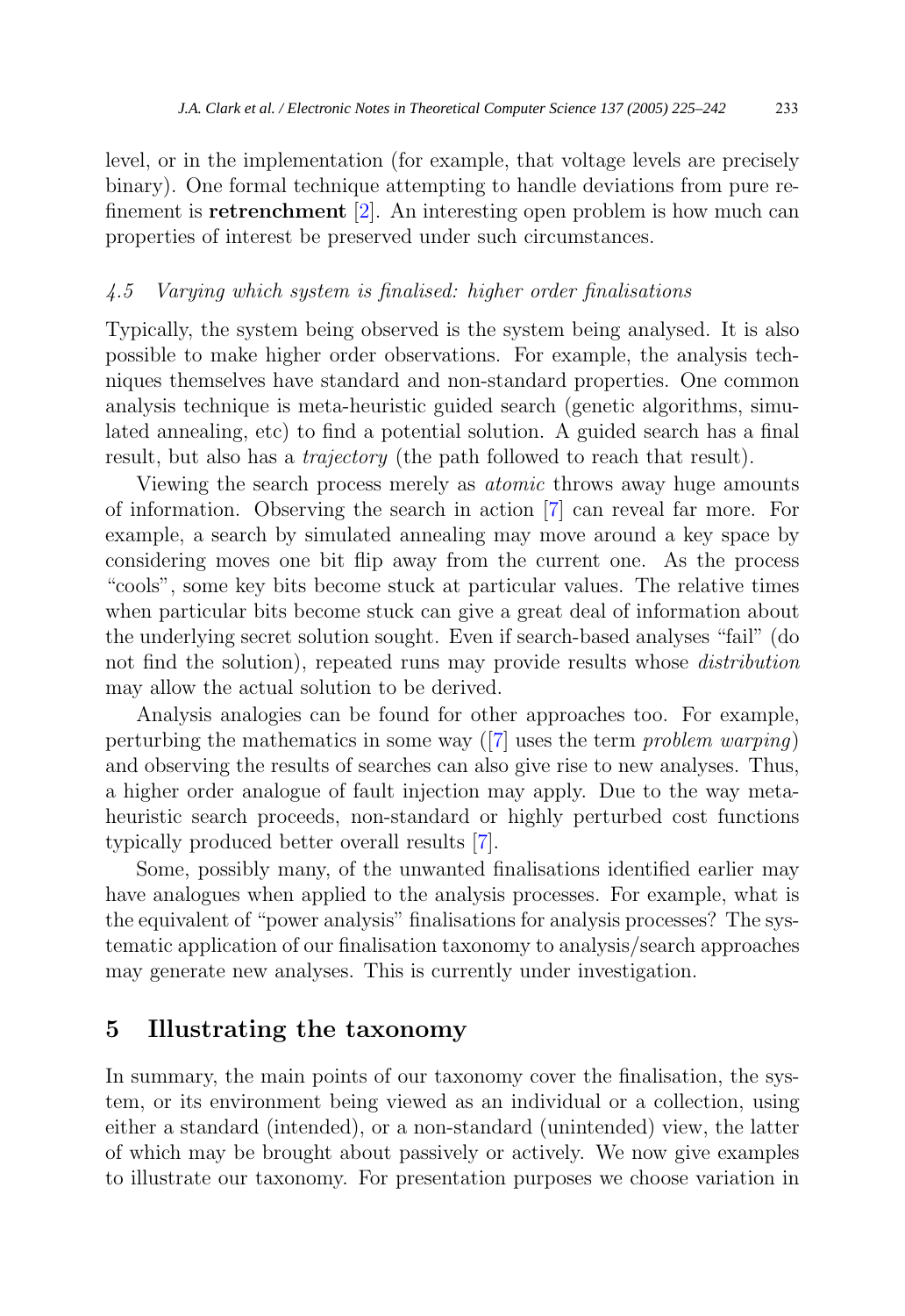level, or in the implementation (for example, that voltage levels are precisely binary). One formal technique attempting to handle deviations from pure refinement is **retrenchment** [\[2\]](#page-16-0). An interesting open problem is how much can properties of interest be preserved under such circumstances.

#### *4.5 Varying which system is finalised: higher order finalisations*

Typically, the system being observed is the system being analysed. It is also possible to make higher order observations. For example, the analysis techniques themselves have standard and non-standard properties. One common analysis technique is meta-heuristic guided search (genetic algorithms, simulated annealing, etc) to find a potential solution. A guided search has a final result, but also has a *trajectory* (the path followed to reach that result).

Viewing the search process merely as *atomic* throws away huge amounts of information. Observing the search in action [\[7\]](#page-16-0) can reveal far more. For example, a search by simulated annealing may move around a key space by considering moves one bit flip away from the current one. As the process "cools", some key bits become stuck at particular values. The relative times when particular bits become stuck can give a great deal of information about the underlying secret solution sought. Even if search-based analyses "fail" (do not find the solution), repeated runs may provide results whose *distribution* may allow the actual solution to be derived.

Analysis analogies can be found for other approaches too. For example, perturbing the mathematics in some way ([\[7\]](#page-16-0) uses the term *problem warping*) and observing the results of searches can also give rise to new analyses. Thus, a higher order analogue of fault injection may apply. Due to the way metaheuristic search proceeds, non-standard or highly perturbed cost functions typically produced better overall results [\[7\]](#page-16-0).

Some, possibly many, of the unwanted finalisations identified earlier may have analogues when applied to the analysis processes. For example, what is the equivalent of "power analysis" finalisations for analysis processes? The systematic application of our finalisation taxonomy to analysis/search approaches may generate new analyses. This is currently under investigation.

## **5 Illustrating the taxonomy**

In summary, the main points of our taxonomy cover the finalisation, the system, or its environment being viewed as an individual or a collection, using either a standard (intended), or a non-standard (unintended) view, the latter of which may be brought about passively or actively. We now give examples to illustrate our taxonomy. For presentation purposes we choose variation in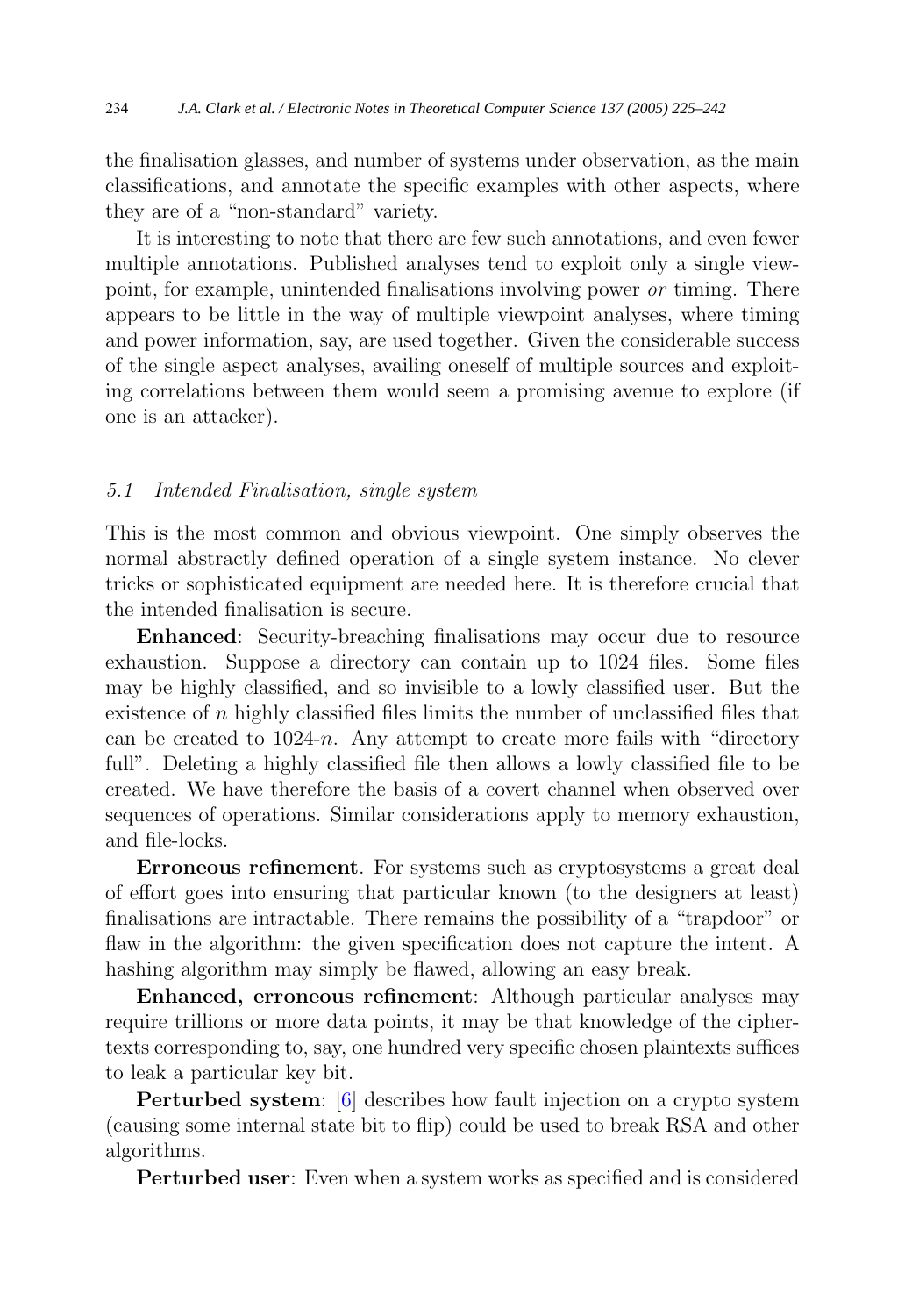the finalisation glasses, and number of systems under observation, as the main classifications, and annotate the specific examples with other aspects, where they are of a "non-standard" variety.

It is interesting to note that there are few such annotations, and even fewer multiple annotations. Published analyses tend to exploit only a single viewpoint, for example, unintended finalisations involving power *or* timing. There appears to be little in the way of multiple viewpoint analyses, where timing and power information, say, are used together. Given the considerable success of the single aspect analyses, availing oneself of multiple sources and exploiting correlations between them would seem a promising avenue to explore (if one is an attacker).

#### *5.1 Intended Finalisation, single system*

This is the most common and obvious viewpoint. One simply observes the normal abstractly defined operation of a single system instance. No clever tricks or sophisticated equipment are needed here. It is therefore crucial that the intended finalisation is secure.

**Enhanced**: Security-breaching finalisations may occur due to resource exhaustion. Suppose a directory can contain up to 1024 files. Some files may be highly classified, and so invisible to a lowly classified user. But the existence of n highly classified files limits the number of unclassified files that can be created to  $1024-n$ . Any attempt to create more fails with "directory" full". Deleting a highly classified file then allows a lowly classified file to be created. We have therefore the basis of a covert channel when observed over sequences of operations. Similar considerations apply to memory exhaustion, and file-locks.

**Erroneous refinement**. For systems such as cryptosystems a great deal of effort goes into ensuring that particular known (to the designers at least) finalisations are intractable. There remains the possibility of a "trapdoor" or flaw in the algorithm: the given specification does not capture the intent. A hashing algorithm may simply be flawed, allowing an easy break.

**Enhanced, erroneous refinement**: Although particular analyses may require trillions or more data points, it may be that knowledge of the ciphertexts corresponding to, say, one hundred very specific chosen plaintexts suffices to leak a particular key bit.

**Perturbed system**: [\[6\]](#page-16-0) describes how fault injection on a crypto system (causing some internal state bit to flip) could be used to break RSA and other algorithms.

**Perturbed user**: Even when a system works as specified and is considered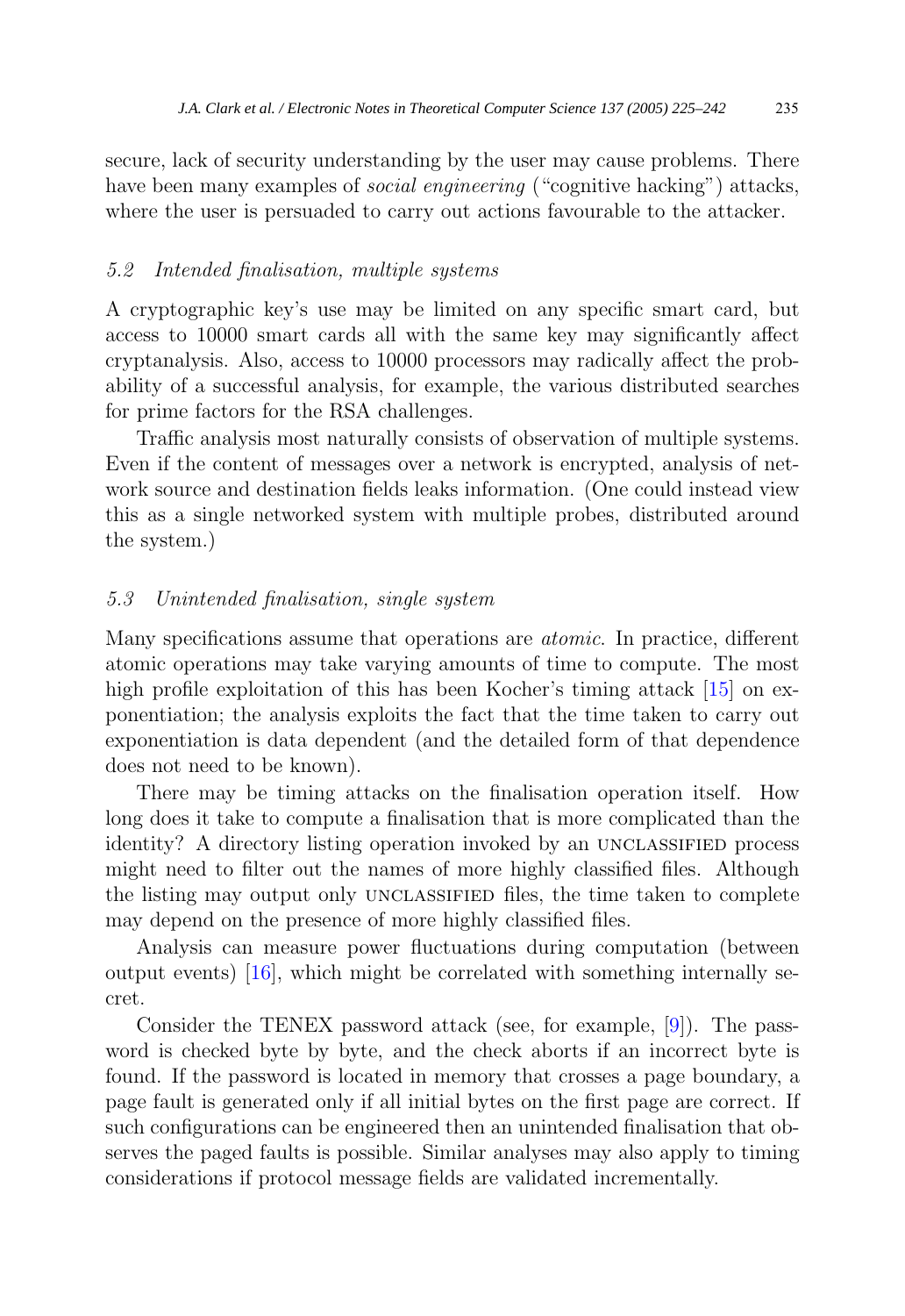secure, lack of security understanding by the user may cause problems. There have been many examples of *social engineering* ("cognitive hacking") attacks, where the user is persuaded to carry out actions favourable to the attacker.

#### *5.2 Intended finalisation, multiple systems*

A cryptographic key's use may be limited on any specific smart card, but access to 10000 smart cards all with the same key may significantly affect cryptanalysis. Also, access to 10000 processors may radically affect the probability of a successful analysis, for example, the various distributed searches for prime factors for the RSA challenges.

Traffic analysis most naturally consists of observation of multiple systems. Even if the content of messages over a network is encrypted, analysis of network source and destination fields leaks information. (One could instead view this as a single networked system with multiple probes, distributed around the system.)

#### *5.3 Unintended finalisation, single system*

Many specifications assume that operations are *atomic*. In practice, different atomic operations may take varying amounts of time to compute. The most high profile exploitation of this has been Kocher's timing attack [\[15\]](#page-16-0) on exponentiation; the analysis exploits the fact that the time taken to carry out exponentiation is data dependent (and the detailed form of that dependence does not need to be known).

There may be timing attacks on the finalisation operation itself. How long does it take to compute a finalisation that is more complicated than the identity? A directory listing operation invoked by an UNCLASSIFIED process might need to filter out the names of more highly classified files. Although the listing may output only unclassified files, the time taken to complete may depend on the presence of more highly classified files.

Analysis can measure power fluctuations during computation (between output events)  $[16]$ , which might be correlated with something internally secret.

Consider the TENEX password attack (see, for example, [\[9\]](#page-16-0)). The password is checked byte by byte, and the check aborts if an incorrect byte is found. If the password is located in memory that crosses a page boundary, a page fault is generated only if all initial bytes on the first page are correct. If such configurations can be engineered then an unintended finalisation that observes the paged faults is possible. Similar analyses may also apply to timing considerations if protocol message fields are validated incrementally.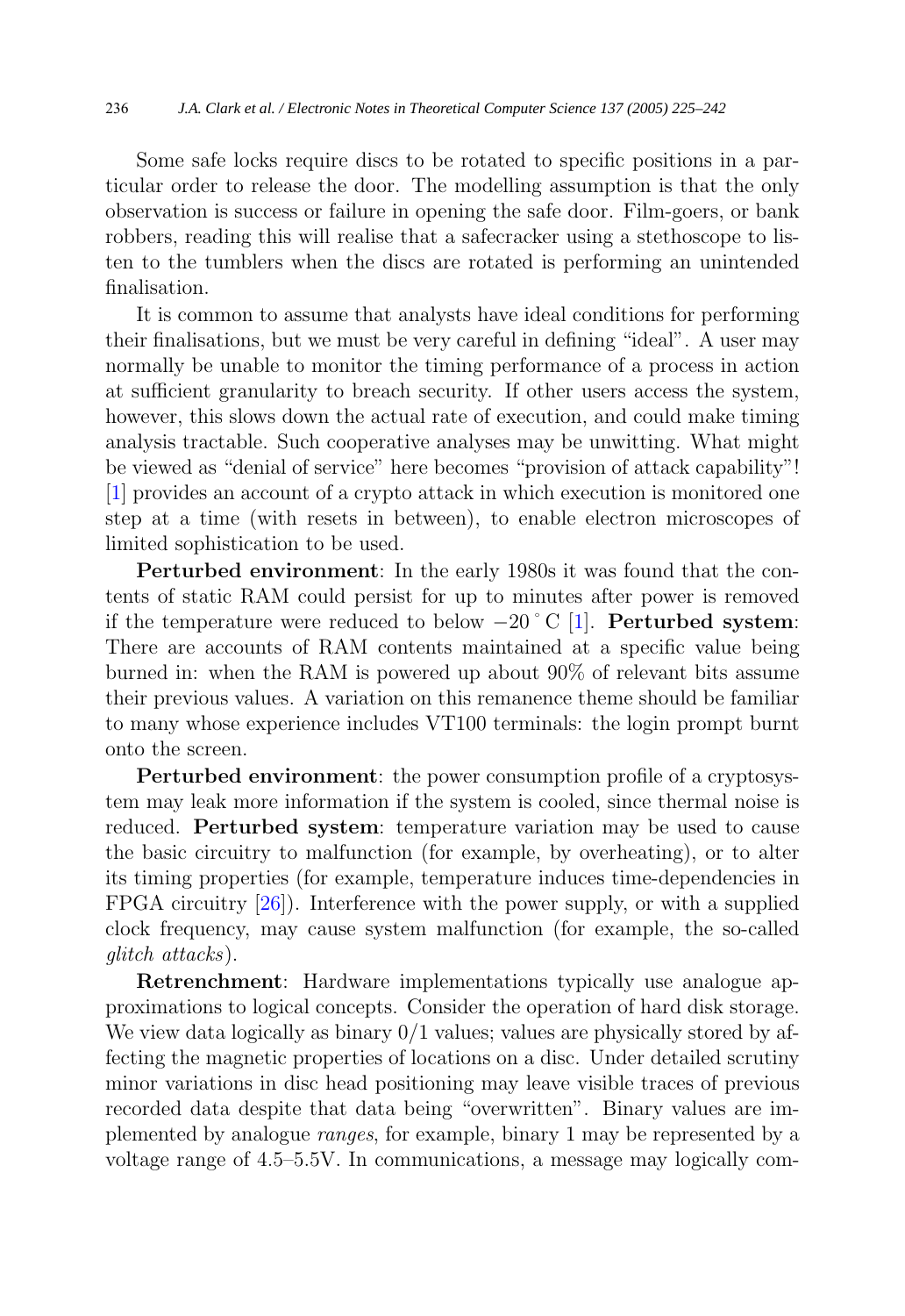Some safe locks require discs to be rotated to specific positions in a particular order to release the door. The modelling assumption is that the only observation is success or failure in opening the safe door. Film-goers, or bank robbers, reading this will realise that a safecracker using a stethoscope to listen to the tumblers when the discs are rotated is performing an unintended finalisation.

It is common to assume that analysts have ideal conditions for performing their finalisations, but we must be very careful in defining "ideal". A user may normally be unable to monitor the timing performance of a process in action at sufficient granularity to breach security. If other users access the system, however, this slows down the actual rate of execution, and could make timing analysis tractable. Such cooperative analyses may be unwitting. What might be viewed as "denial of service" here becomes "provision of attack capability"! [\[1\]](#page-16-0) provides an account of a crypto attack in which execution is monitored one step at a time (with resets in between), to enable electron microscopes of limited sophistication to be used.

**Perturbed environment**: In the early 1980s it was found that the contents of static RAM could persist for up to minutes after power is removed if the temperature were reduced to below −20˚C [\[1\]](#page-16-0). **Perturbed system**: There are accounts of RAM contents maintained at a specific value being burned in: when the RAM is powered up about 90% of relevant bits assume their previous values. A variation on this remanence theme should be familiar to many whose experience includes VT100 terminals: the login prompt burnt onto the screen.

**Perturbed environment**: the power consumption profile of a cryptosystem may leak more information if the system is cooled, since thermal noise is reduced. **Perturbed system**: temperature variation may be used to cause the basic circuitry to malfunction (for example, by overheating), or to alter its timing properties (for example, temperature induces time-dependencies in FPGA circuitry [\[26\]](#page-17-0)). Interference with the power supply, or with a supplied clock frequency, may cause system malfunction (for example, the so-called *glitch attacks*).

**Retrenchment**: Hardware implementations typically use analogue approximations to logical concepts. Consider the operation of hard disk storage. We view data logically as binary  $0/1$  values; values are physically stored by affecting the magnetic properties of locations on a disc. Under detailed scrutiny minor variations in disc head positioning may leave visible traces of previous recorded data despite that data being "overwritten". Binary values are implemented by analogue *ranges*, for example, binary 1 may be represented by a voltage range of 4.5–5.5V. In communications, a message may logically com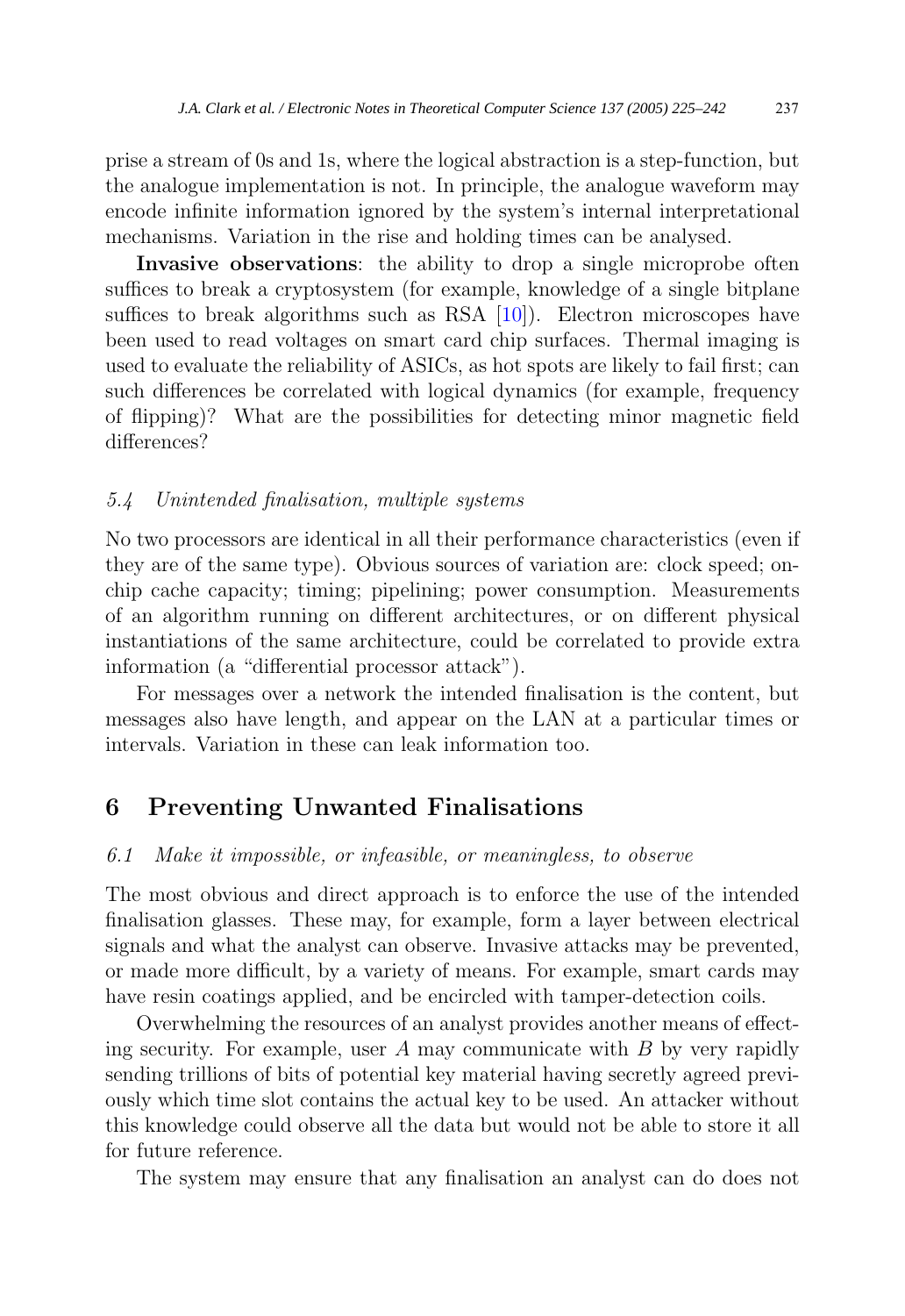prise a stream of 0s and 1s, where the logical abstraction is a step-function, but the analogue implementation is not. In principle, the analogue waveform may encode infinite information ignored by the system's internal interpretational mechanisms. Variation in the rise and holding times can be analysed.

**Invasive observations**: the ability to drop a single microprobe often suffices to break a cryptosystem (for example, knowledge of a single bitplane suffices to break algorithms such as RSA [\[10\]](#page-16-0)). Electron microscopes have been used to read voltages on smart card chip surfaces. Thermal imaging is used to evaluate the reliability of ASICs, as hot spots are likely to fail first; can such differences be correlated with logical dynamics (for example, frequency of flipping)? What are the possibilities for detecting minor magnetic field differences?

#### *5.4 Unintended finalisation, multiple systems*

No two processors are identical in all their performance characteristics (even if they are of the same type). Obvious sources of variation are: clock speed; onchip cache capacity; timing; pipelining; power consumption. Measurements of an algorithm running on different architectures, or on different physical instantiations of the same architecture, could be correlated to provide extra information (a "differential processor attack").

For messages over a network the intended finalisation is the content, but messages also have length, and appear on the LAN at a particular times or intervals. Variation in these can leak information too.

# **6 Preventing Unwanted Finalisations**

#### *6.1 Make it impossible, or infeasible, or meaningless, to observe*

The most obvious and direct approach is to enforce the use of the intended finalisation glasses. These may, for example, form a layer between electrical signals and what the analyst can observe. Invasive attacks may be prevented, or made more difficult, by a variety of means. For example, smart cards may have resin coatings applied, and be encircled with tamper-detection coils.

Overwhelming the resources of an analyst provides another means of effecting security. For example, user  $A$  may communicate with  $B$  by very rapidly sending trillions of bits of potential key material having secretly agreed previously which time slot contains the actual key to be used. An attacker without this knowledge could observe all the data but would not be able to store it all for future reference.

The system may ensure that any finalisation an analyst can do does not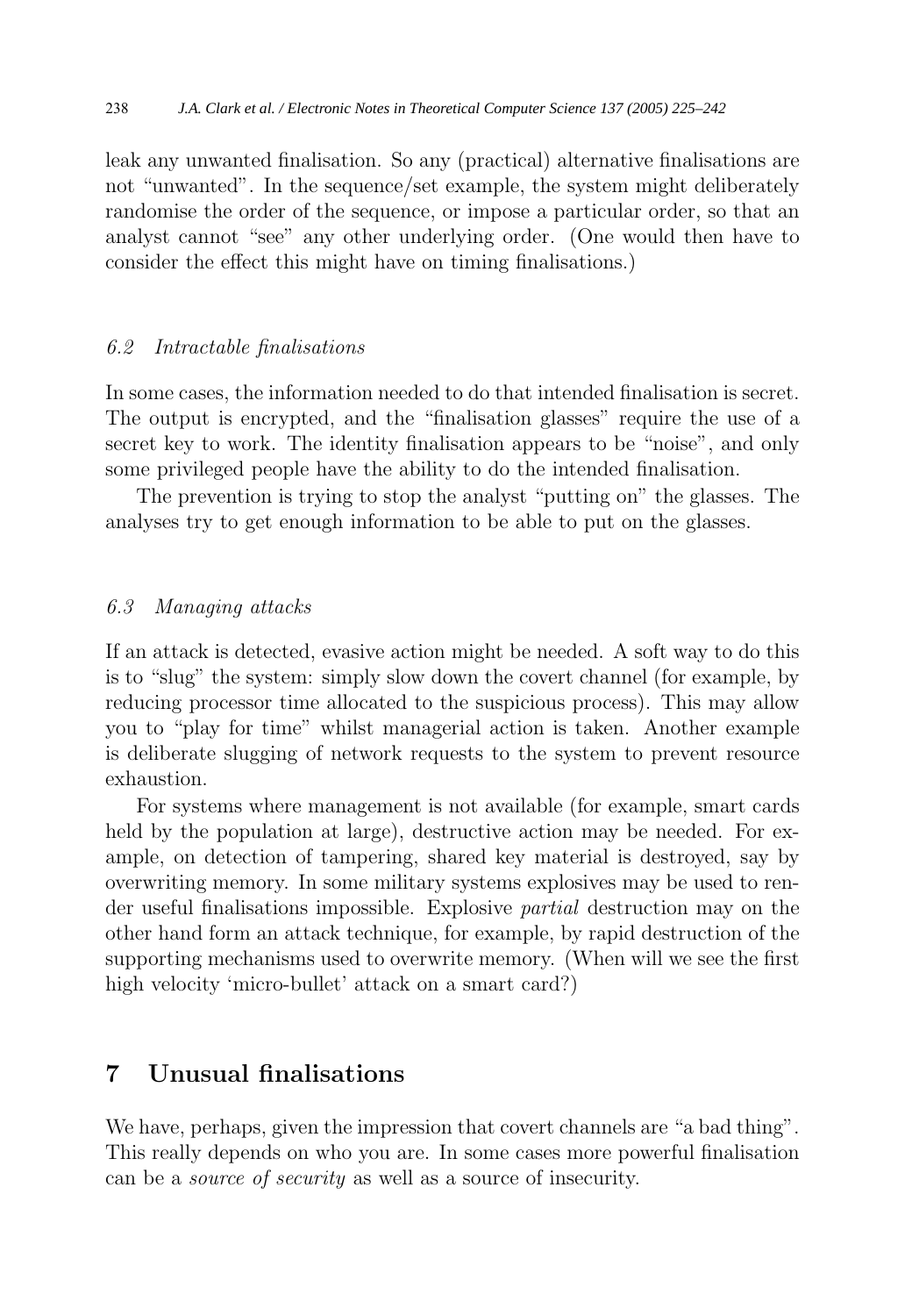leak any unwanted finalisation. So any (practical) alternative finalisations are not "unwanted". In the sequence/set example, the system might deliberately randomise the order of the sequence, or impose a particular order, so that an analyst cannot "see" any other underlying order. (One would then have to consider the effect this might have on timing finalisations.)

#### *6.2 Intractable finalisations*

In some cases, the information needed to do that intended finalisation is secret. The output is encrypted, and the "finalisation glasses" require the use of a secret key to work. The identity finalisation appears to be "noise", and only some privileged people have the ability to do the intended finalisation.

The prevention is trying to stop the analyst "putting on" the glasses. The analyses try to get enough information to be able to put on the glasses.

#### *6.3 Managing attacks*

If an attack is detected, evasive action might be needed. A soft way to do this is to "slug" the system: simply slow down the covert channel (for example, by reducing processor time allocated to the suspicious process). This may allow you to "play for time" whilst managerial action is taken. Another example is deliberate slugging of network requests to the system to prevent resource exhaustion.

For systems where management is not available (for example, smart cards held by the population at large), destructive action may be needed. For example, on detection of tampering, shared key material is destroyed, say by overwriting memory. In some military systems explosives may be used to render useful finalisations impossible. Explosive *partial* destruction may on the other hand form an attack technique, for example, by rapid destruction of the supporting mechanisms used to overwrite memory. (When will we see the first high velocity 'micro-bullet' attack on a smart card?)

# **7 Unusual finalisations**

We have, perhaps, given the impression that covert channels are "a bad thing". This really depends on who you are. In some cases more powerful finalisation can be a *source of security* as well as a source of insecurity.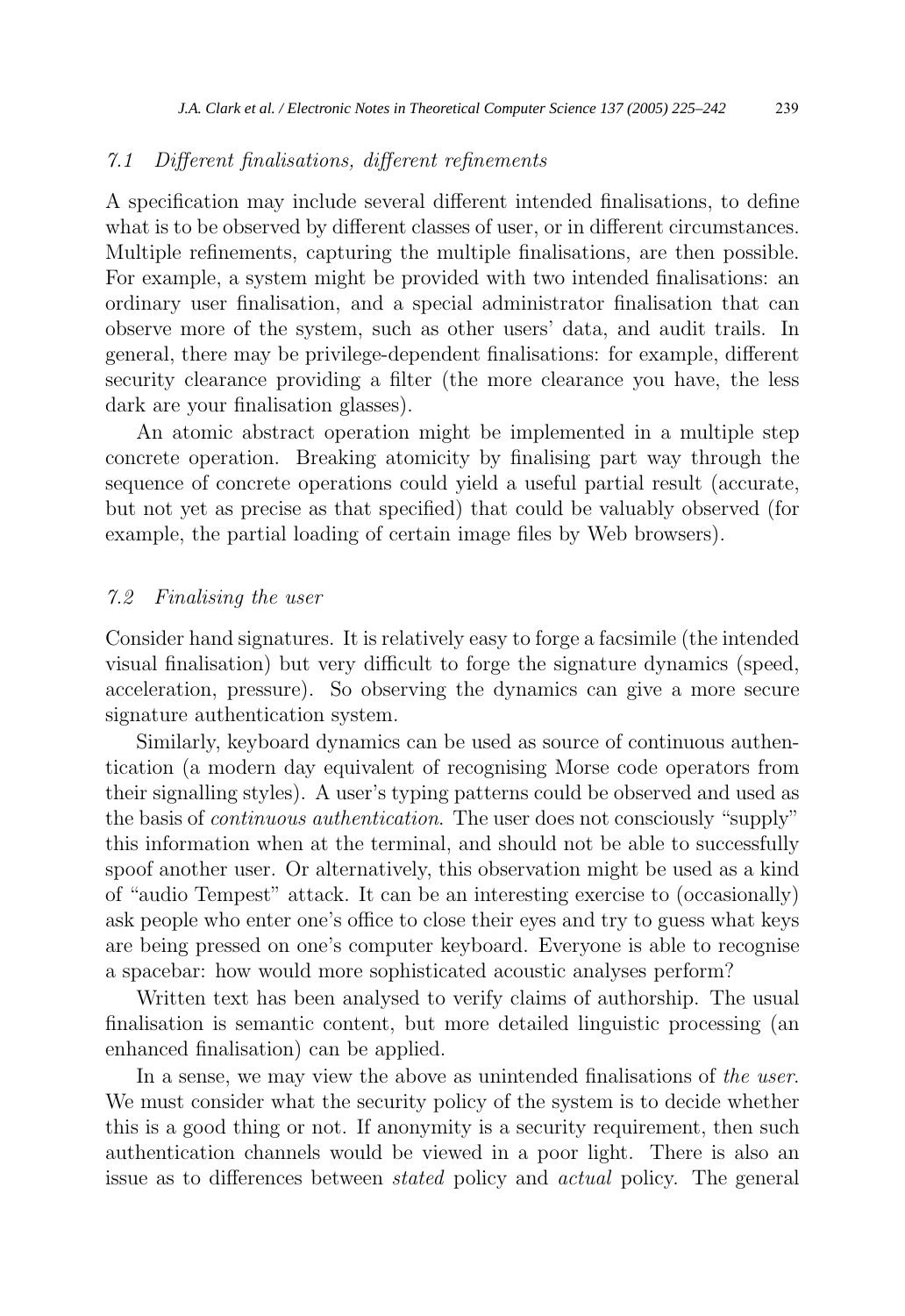#### *7.1 Different finalisations, different refinements*

A specification may include several different intended finalisations, to define what is to be observed by different classes of user, or in different circumstances. Multiple refinements, capturing the multiple finalisations, are then possible. For example, a system might be provided with two intended finalisations: an ordinary user finalisation, and a special administrator finalisation that can observe more of the system, such as other users' data, and audit trails. In general, there may be privilege-dependent finalisations: for example, different security clearance providing a filter (the more clearance you have, the less dark are your finalisation glasses).

An atomic abstract operation might be implemented in a multiple step concrete operation. Breaking atomicity by finalising part way through the sequence of concrete operations could yield a useful partial result (accurate, but not yet as precise as that specified) that could be valuably observed (for example, the partial loading of certain image files by Web browsers).

#### *7.2 Finalising the user*

Consider hand signatures. It is relatively easy to forge a facsimile (the intended visual finalisation) but very difficult to forge the signature dynamics (speed, acceleration, pressure). So observing the dynamics can give a more secure signature authentication system.

Similarly, keyboard dynamics can be used as source of continuous authentication (a modern day equivalent of recognising Morse code operators from their signalling styles). A user's typing patterns could be observed and used as the basis of *continuous authentication*. The user does not consciously "supply" this information when at the terminal, and should not be able to successfully spoof another user. Or alternatively, this observation might be used as a kind of "audio Tempest" attack. It can be an interesting exercise to (occasionally) ask people who enter one's office to close their eyes and try to guess what keys are being pressed on one's computer keyboard. Everyone is able to recognise a spacebar: how would more sophisticated acoustic analyses perform?

Written text has been analysed to verify claims of authorship. The usual finalisation is semantic content, but more detailed linguistic processing (an enhanced finalisation) can be applied.

In a sense, we may view the above as unintended finalisations of *the user*. We must consider what the security policy of the system is to decide whether this is a good thing or not. If anonymity is a security requirement, then such authentication channels would be viewed in a poor light. There is also an issue as to differences between *stated* policy and *actual* policy. The general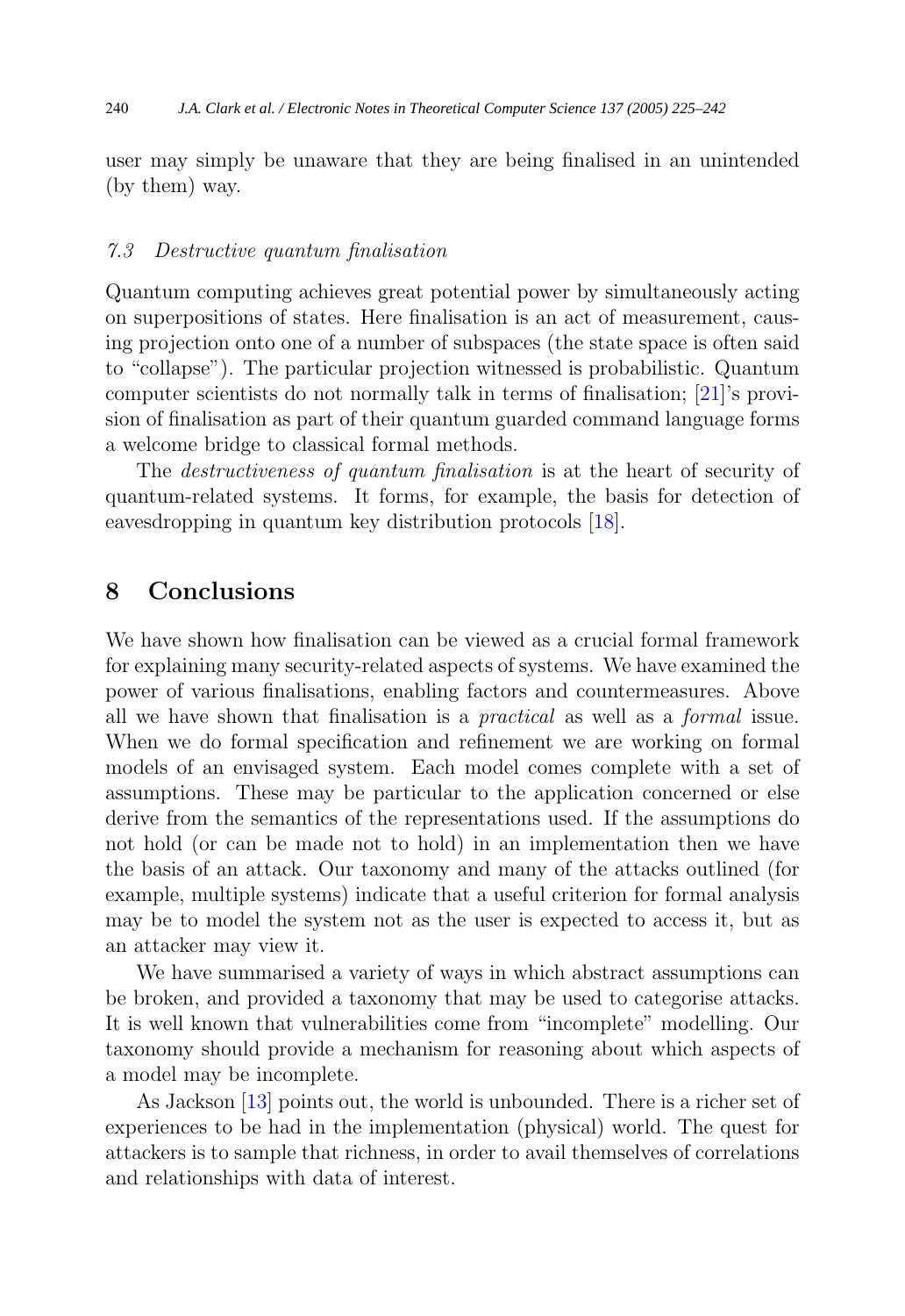user may simply be unaware that they are being finalised in an unintended (by them) way.

#### *7.3 Destructive quantum finalisation*

Quantum computing achieves great potential power by simultaneously acting on superpositions of states. Here finalisation is an act of measurement, causing projection onto one of a number of subspaces (the state space is often said to "collapse"). The particular projection witnessed is probabilistic. Quantum computer scientists do not normally talk in terms of finalisation; [\[21\]](#page-17-0)'s provision of finalisation as part of their quantum guarded command language forms a welcome bridge to classical formal methods.

The *destructiveness of quantum finalisation* is at the heart of security of quantum-related systems. It forms, for example, the basis for detection of eavesdropping in quantum key distribution protocols [\[18\]](#page-16-0).

# **8 Conclusions**

We have shown how finalisation can be viewed as a crucial formal framework for explaining many security-related aspects of systems. We have examined the power of various finalisations, enabling factors and countermeasures. Above all we have shown that finalisation is a *practical* as well as a *formal* issue. When we do formal specification and refinement we are working on formal models of an envisaged system. Each model comes complete with a set of assumptions. These may be particular to the application concerned or else derive from the semantics of the representations used. If the assumptions do not hold (or can be made not to hold) in an implementation then we have the basis of an attack. Our taxonomy and many of the attacks outlined (for example, multiple systems) indicate that a useful criterion for formal analysis may be to model the system not as the user is expected to access it, but as an attacker may view it.

We have summarised a variety of ways in which abstract assumptions can be broken, and provided a taxonomy that may be used to categorise attacks. It is well known that vulnerabilities come from "incomplete" modelling. Our taxonomy should provide a mechanism for reasoning about which aspects of a model may be incomplete.

As Jackson [\[13\]](#page-16-0) points out, the world is unbounded. There is a richer set of experiences to be had in the implementation (physical) world. The quest for attackers is to sample that richness, in order to avail themselves of correlations and relationships with data of interest.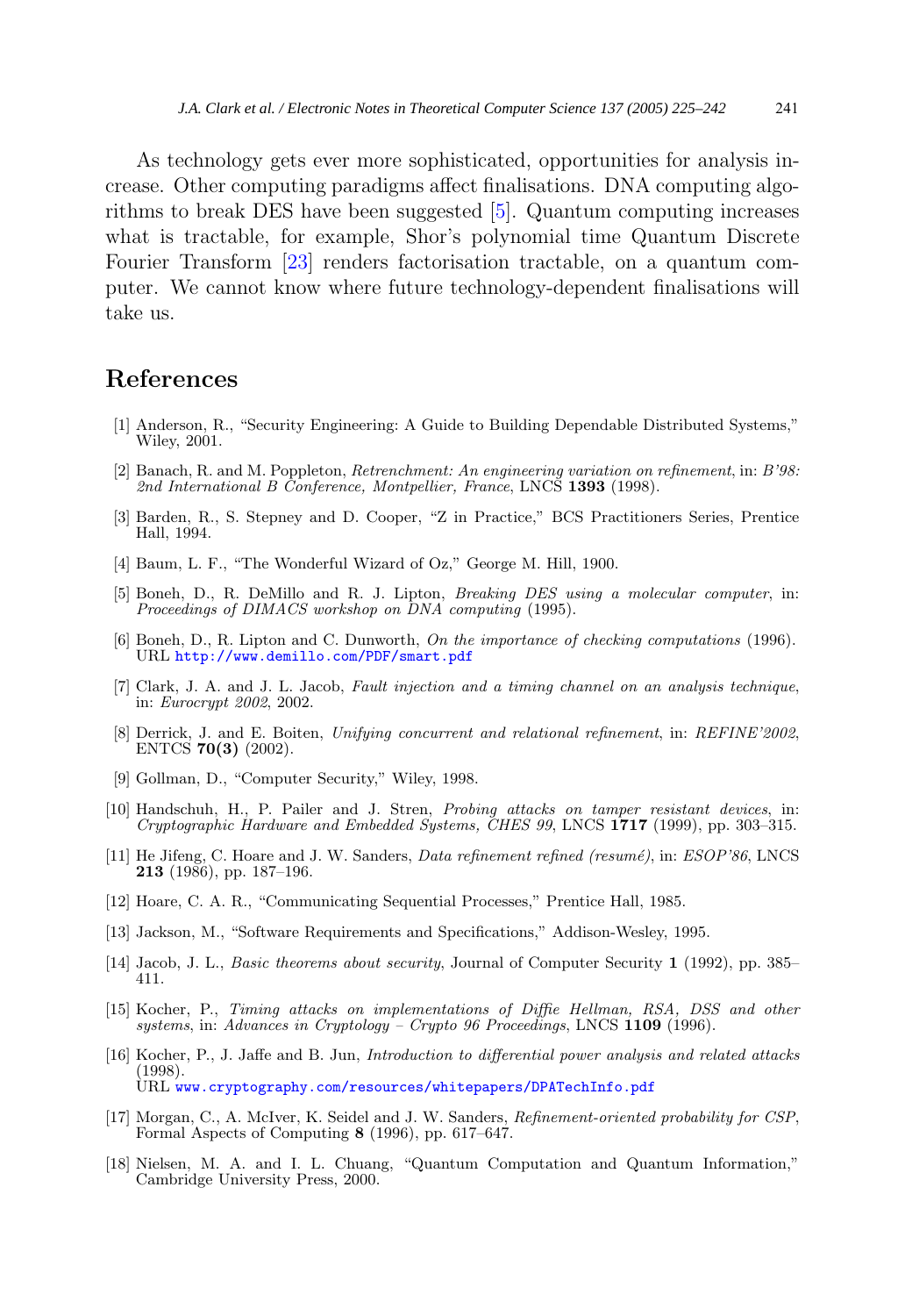<span id="page-16-0"></span>As technology gets ever more sophisticated, opportunities for analysis increase. Other computing paradigms affect finalisations. DNA computing algorithms to break DES have been suggested [5]. Quantum computing increases what is tractable, for example, Shor's polynomial time Quantum Discrete Fourier Transform [\[23\]](#page-17-0) renders factorisation tractable, on a quantum computer. We cannot know where future technology-dependent finalisations will take us.

## **References**

- [1] Anderson, R., "Security Engineering: A Guide to Building Dependable Distributed Systems," Wiley, 2001.
- [2] Banach, R. and M. Poppleton, Retrenchment: An engineering variation on refinement, in: B'98: 2nd International B Conference, Montpellier, France, LNCS 1393 (1998).
- [3] Barden, R., S. Stepney and D. Cooper, "Z in Practice," BCS Practitioners Series, Prentice Hall, 1994.
- [4] Baum, L. F., "The Wonderful Wizard of Oz," George M. Hill, 1900.
- [5] Boneh, D., R. DeMillo and R. J. Lipton, Breaking DES using a molecular computer, in: Proceedings of DIMACS workshop on DNA computing (1995).
- [6] Boneh, D., R. Lipton and C. Dunworth, On the importance of checking computations (1996). URL <http://www.demillo.com/PDF/smart.pdf>
- [7] Clark, J. A. and J. L. Jacob, Fault injection and a timing channel on an analysis technique, in: Eurocrypt 2002, 2002.
- [8] Derrick, J. and E. Boiten, Unifying concurrent and relational refinement, in: REFINE'2002. ENTCS **70(3)** (2002).
- [9] Gollman, D., "Computer Security," Wiley, 1998.
- [10] Handschuh, H., P. Pailer and J. Stren, Probing attacks on tamper resistant devices, in: Cryptographic Hardware and Embedded Systems, CHES 99, LNCS **1717** (1999), pp. 303–315.
- [11] He Jifeng, C. Hoare and J. W. Sanders, *Data refinement refined (resumé)*, in:  $ESOP'86$ , LNCS **213** (1986), pp. 187–196.
- [12] Hoare, C. A. R., "Communicating Sequential Processes," Prentice Hall, 1985.
- [13] Jackson, M., "Software Requirements and Specifications," Addison-Wesley, 1995.
- [14] Jacob, J. L., Basic theorems about security, Journal of Computer Security **1** (1992), pp. 385– 411.
- [15] Kocher, P., Timing attacks on implementations of Diffie Hellman, RSA, DSS and other systems, in: Advances in Cryptology – Crypto 96 Proceedings, LNCS **1109** (1996).
- [16] Kocher, P., J. Jaffe and B. Jun, Introduction to differential power analysis and related attacks (1998). URL <www.cryptography.com/resources/whitepapers/DPATechInfo.pdf>
- [17] Morgan, C., A. McIver, K. Seidel and J. W. Sanders, Refinement-oriented probability for CSP, Formal Aspects of Computing **8** (1996), pp. 617–647.
- [18] Nielsen, M. A. and I. L. Chuang, "Quantum Computation and Quantum Information," Cambridge University Press, 2000.